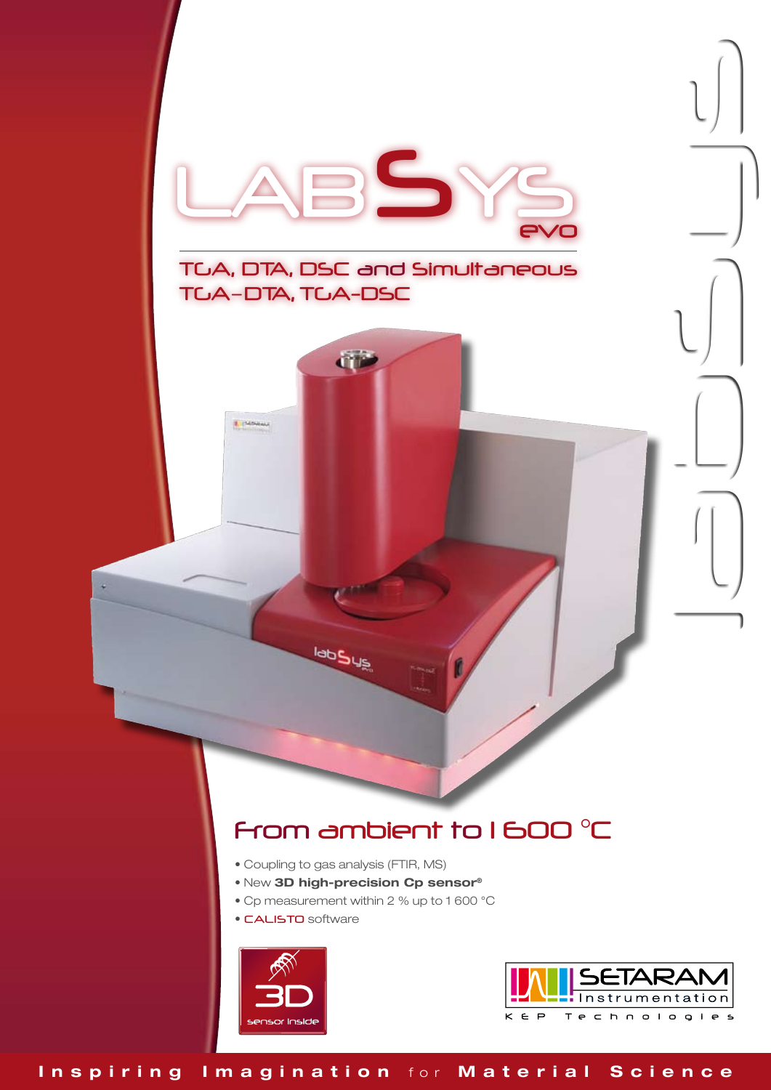

# From ambient to 1 600 °C

- Coupling to gas analysis (FTIR, MS)
- New 3D high-precision Cp sensor®
- Cp measurement within 2 % up to 1 600 °C
- CALISTO software



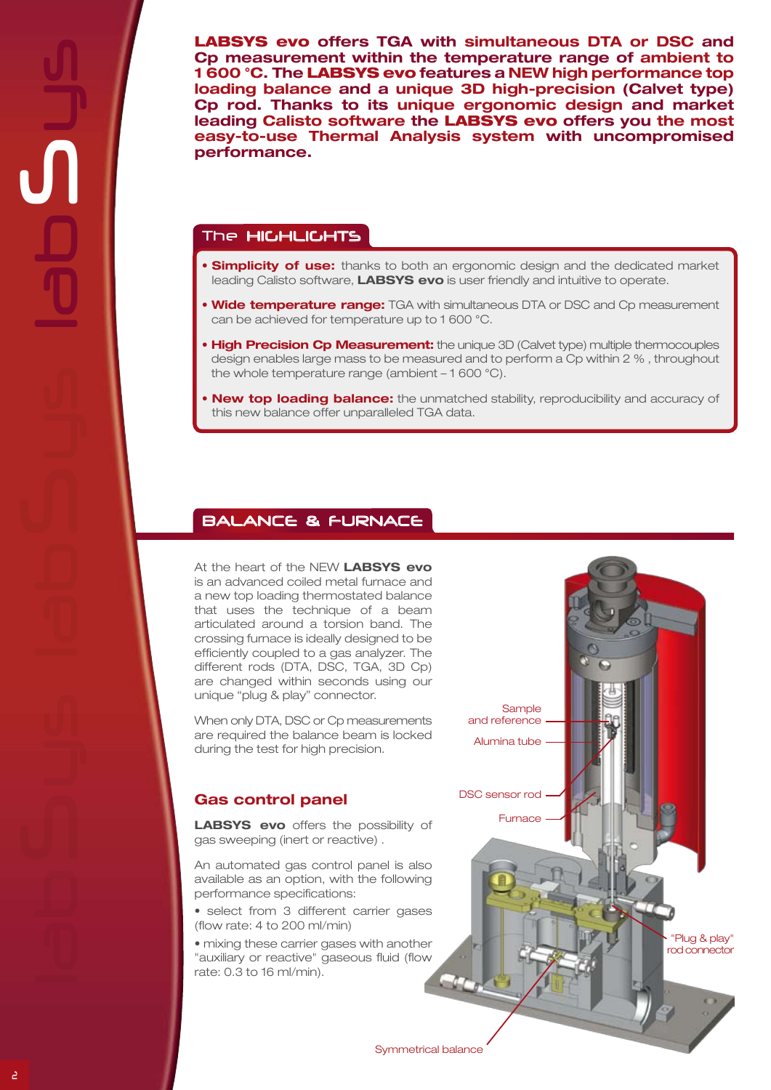LABSYS evo offers TGA with simultaneous DTA or DSC and Cp measurement within the temperature range of ambient to 1 600 °C. The LABSYS evo features a NEW high performance top loading balance and a unique 3D high-precision (Calvet type) Cp rod. Thanks to its unique ergonomic design and market leading Calisto software the LABSYS evo offers you the most easy-to-use Thermal Analysis system with uncompromised performance.

### The HIGHLIGHTS

- **Simplicity of use:** thanks to both an ergonomic design and the dedicated market leading Calisto software, LABSYS evo is user friendly and intuitive to operate.
- Wide temperature range: TGA with simultaneous DTA or DSC and Cp measurement can be achieved for temperature up to 1 600 °C.
- **High Precision Cp Measurement:** the unique 3D (Calvet type) multiple thermocouples design enables large mass to be measured and to perform a Cp within 2 % , throughout the whole temperature range (ambient – 1 600 °C).
- New top loading balance: the unmatched stability, reproducibility and accuracy of this new balance offer unparalleled TGA data.

**Sample** and reference Alumina tube

Furnace

DSC sensor rod

"Plug & play" rod connector

## Balance & furnace

At the heart of the NEW LABSYS evo is an advanced coiled metal furnace and a new top loading thermostated balance that uses the technique of a beam articulated around a torsion band. The crossing furnace is ideally designed to be efficiently coupled to a gas analyzer. The different rods (DTA, DSC, TGA, 3D Cp) are changed within seconds using our unique "plug & play" connector.

When only DTA, DSC or Cp measurements are required the balance beam is locked during the test for high precision.

# Gas control panel

LABSYS evo offers the possibility of gas sweeping (inert or reactive) .

An automated gas control panel is also available as an option, with the following performance specifications:

• select from 3 different carrier gases (flow rate: 4 to 200 ml/min)

• mixing these carrier gases with another "auxiliary or reactive" gaseous fluid (flow rate: 0.3 to 16 ml/min).

Symmetrical balance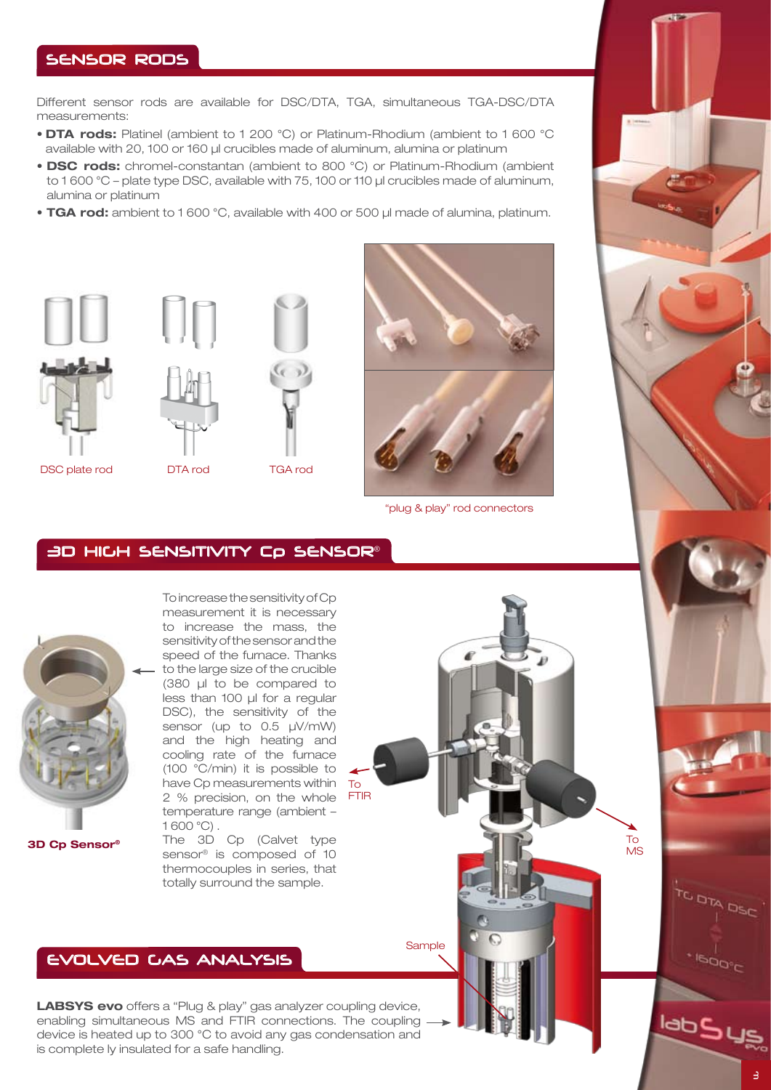## Sensor rods

Different sensor rods are available for DSC/DTA, TGA, simultaneous TGA-DSC/DTA measurements:

- DTA rods: Platinel (ambient to 1 200 °C) or Platinum-Rhodium (ambient to 1 600 °C available with 20, 100 or 160 μl crucibles made of aluminum, alumina or platinum
- DSC rods: chromel-constantan (ambient to 800 °C) or Platinum-Rhodium (ambient to 1 600 °C – plate type DSC, available with 75, 100 or 110 μl crucibles made of aluminum, alumina or platinum
- TGA rod: ambient to 1 600 °C, available with 400 or 500 μl made of alumina, platinum.





DSC plate rod DTA rod TGA rod





"plug & play" rod connectors

# 3D high sensitivity Cp sensor®



3D Cp Sensor®

To increase the sensitivity of Cp measurement it is necessary to increase the mass, the sensitivity of the sensor and the speed of the furnace. Thanks to the large size of the crucible (380 μl to be compared to less than 100 μl for a regular DSC), the sensitivity of the sensor (up to 0.5 μV/mW) and the high heating and cooling rate of the furnace (100 °C/min) it is possible to have Cp measurements within 2 % precision, on the whole temperature range (ambient – 1 600 °C) .

To FTIR

**Sample** 

The 3D Cp (Calvet type sensor® is composed of 10 thermocouples in series, that totally surround the sample.

# EVOLVED GAS ANALYSIS

LABSYS evo offers a "Plug & play" gas analyzer coupling device, enabling simultaneous MS and FTIR connections. The coupling device is heated up to 300 °C to avoid any gas condensation and is complete ly insulated for a safe handling.

**DIA DEC** 

 $500^{\circ}$ 

labSus

To MS